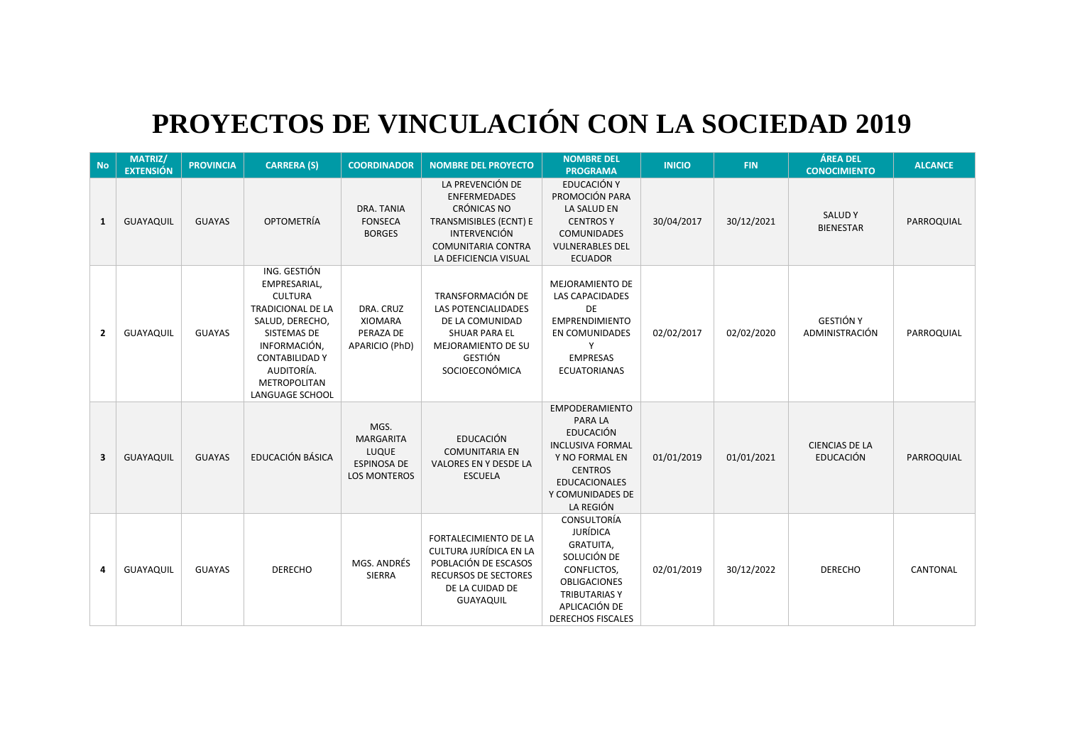## **PROYECTOS DE VINCULACIÓN CON LA SOCIEDAD 2019**

| <b>No</b>               | <b>MATRIZ/</b><br><b>EXTENSIÓN</b> | <b>PROVINCIA</b> | <b>CARRERA (S)</b>                                                                                                                                                                                            | <b>COORDINADOR</b>                                                             | <b>NOMBRE DEL PROYECTO</b>                                                                                                                                           | <b>NOMBRE DEL</b><br><b>PROGRAMA</b>                                                                                                                                                | <b>INICIO</b> | <b>FIN</b> | <b>ÁREA DEL</b><br><b>CONOCIMIENTO</b>    | <b>ALCANCE</b> |
|-------------------------|------------------------------------|------------------|---------------------------------------------------------------------------------------------------------------------------------------------------------------------------------------------------------------|--------------------------------------------------------------------------------|----------------------------------------------------------------------------------------------------------------------------------------------------------------------|-------------------------------------------------------------------------------------------------------------------------------------------------------------------------------------|---------------|------------|-------------------------------------------|----------------|
| $\mathbf{1}$            | <b>GUAYAQUIL</b>                   | <b>GUAYAS</b>    | <b>OPTOMETRÍA</b>                                                                                                                                                                                             | DRA. TANIA<br><b>FONSECA</b><br><b>BORGES</b>                                  | LA PREVENCIÓN DE<br><b>ENFERMEDADES</b><br><b>CRÓNICAS NO</b><br>TRANSMISIBLES (ECNT) E<br><b>INTERVENCIÓN</b><br><b>COMUNITARIA CONTRA</b><br>LA DEFICIENCIA VISUAL | EDUCACIÓN Y<br>PROMOCIÓN PARA<br>LA SALUD EN<br><b>CENTROSY</b><br><b>COMUNIDADES</b><br><b>VULNERABLES DEL</b><br><b>ECUADOR</b>                                                   | 30/04/2017    | 30/12/2021 | <b>SALUDY</b><br><b>BIENESTAR</b>         | PARROQUIAL     |
| $\overline{2}$          | <b>GUAYAQUIL</b>                   | <b>GUAYAS</b>    | ING. GESTIÓN<br>EMPRESARIAL,<br><b>CULTURA</b><br><b>TRADICIONAL DE LA</b><br>SALUD, DERECHO,<br>SISTEMAS DE<br>INFORMACIÓN,<br><b>CONTABILIDAD Y</b><br>AUDITORÍA.<br><b>METROPOLITAN</b><br>LANGUAGE SCHOOL | DRA. CRUZ<br><b>XIOMARA</b><br>PERAZA DE<br>APARICIO (PhD)                     | TRANSFORMACIÓN DE<br><b>LAS POTENCIALIDADES</b><br>DE LA COMUNIDAD<br><b>SHUAR PARA EL</b><br>MEJORAMIENTO DE SU<br><b>GESTIÓN</b><br>SOCIOECONÓMICA                 | MEJORAMIENTO DE<br>LAS CAPACIDADES<br>DE<br><b>EMPRENDIMIENTO</b><br>EN COMUNIDADES<br>Y<br><b>EMPRESAS</b><br><b>ECUATORIANAS</b>                                                  | 02/02/2017    | 02/02/2020 | <b>GESTIÓN Y</b><br>ADMINISTRACIÓN        | PARROQUIAL     |
| $\overline{\mathbf{3}}$ | <b>GUAYAQUIL</b>                   | <b>GUAYAS</b>    | EDUCACIÓN BÁSICA                                                                                                                                                                                              | MGS.<br><b>MARGARITA</b><br>LUQUE<br><b>ESPINOSA DE</b><br><b>LOS MONTEROS</b> | <b>EDUCACIÓN</b><br><b>COMUNITARIA EN</b><br>VALORES EN Y DESDE LA<br><b>ESCUELA</b>                                                                                 | <b>EMPODERAMIENTO</b><br><b>PARA LA</b><br><b>EDUCACIÓN</b><br><b>INCLUSIVA FORMAL</b><br>Y NO FORMAL EN<br><b>CENTROS</b><br><b>EDUCACIONALES</b><br>Y COMUNIDADES DE<br>LA REGIÓN | 01/01/2019    | 01/01/2021 | <b>CIENCIAS DE LA</b><br><b>EDUCACIÓN</b> | PARROQUIAL     |
| 4                       | <b>GUAYAQUIL</b>                   | <b>GUAYAS</b>    | <b>DERECHO</b>                                                                                                                                                                                                | MGS. ANDRÉS<br>SIERRA                                                          | FORTALECIMIENTO DE LA<br><b>CULTURA JURÍDICA EN LA</b><br>POBLACIÓN DE ESCASOS<br>RECURSOS DE SECTORES<br>DE LA CUIDAD DE<br>GUAYAQUIL                               | CONSULTORÍA<br><b>JURÍDICA</b><br>GRATUITA,<br>SOLUCIÓN DE<br>CONFLICTOS,<br><b>OBLIGACIONES</b><br><b>TRIBUTARIAS Y</b><br>APLICACIÓN DE<br><b>DERECHOS FISCALES</b>               | 02/01/2019    | 30/12/2022 | <b>DERECHO</b>                            | CANTONAL       |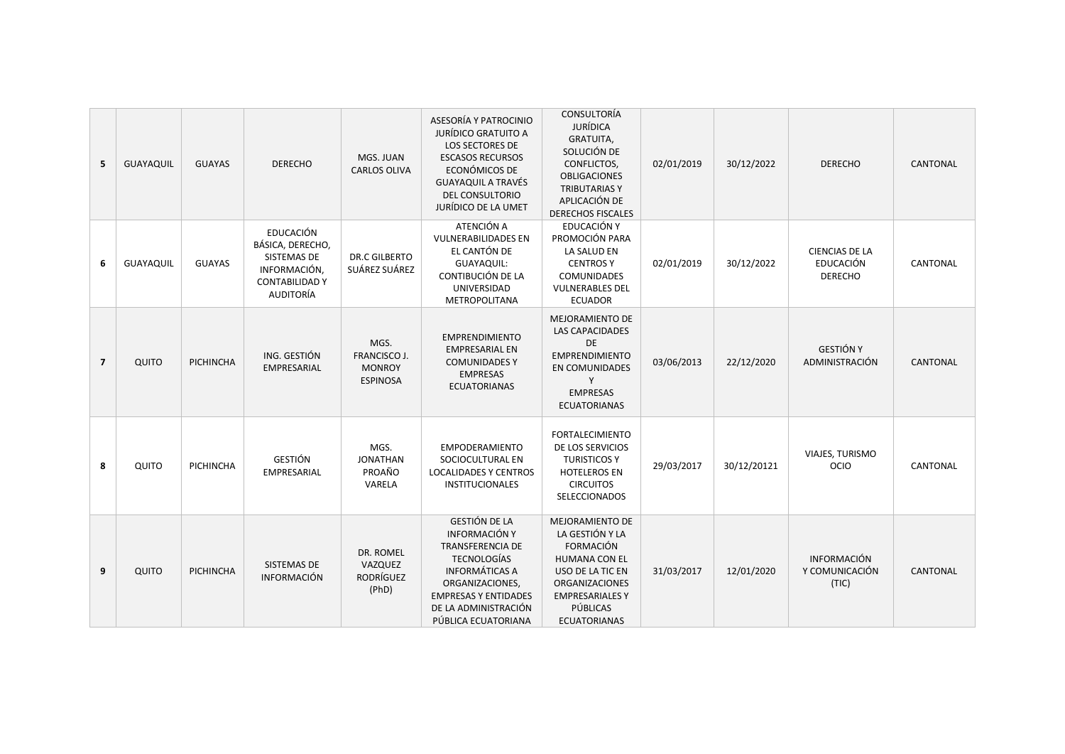| 5              | GUAYAQUIL        | <b>GUAYAS</b>    | <b>DERECHO</b>                                                                                            | MGS. JUAN<br><b>CARLOS OLIVA</b>                         | ASESORÍA Y PATROCINIO<br><b>JURÍDICO GRATUITO A</b><br><b>LOS SECTORES DE</b><br><b>ESCASOS RECURSOS</b><br>ECONÓMICOS DE<br><b>GUAYAQUIL A TRAVÉS</b><br>DEL CONSULTORIO<br>JURÍDICO DE LA UMET                        | CONSULTORÍA<br><b>JURÍDICA</b><br><b>GRATUITA,</b><br>SOLUCIÓN DE<br>CONFLICTOS,<br><b>OBLIGACIONES</b><br><b>TRIBUTARIASY</b><br>APLICACIÓN DE<br><b>DERECHOS FISCALES</b>                     | 02/01/2019 | 30/12/2022  | <b>DERECHO</b>                                              | <b>CANTONAL</b> |
|----------------|------------------|------------------|-----------------------------------------------------------------------------------------------------------|----------------------------------------------------------|-------------------------------------------------------------------------------------------------------------------------------------------------------------------------------------------------------------------------|-------------------------------------------------------------------------------------------------------------------------------------------------------------------------------------------------|------------|-------------|-------------------------------------------------------------|-----------------|
| 6              | <b>GUAYAQUIL</b> | <b>GUAYAS</b>    | <b>EDUCACIÓN</b><br>BÁSICA, DERECHO,<br>SISTEMAS DE<br>INFORMACIÓN,<br><b>CONTABILIDAD Y</b><br>AUDITORÍA | DR.C GILBERTO<br>SUÁREZ SUÁREZ                           | ATENCIÓN A<br><b>VULNERABILIDADES EN</b><br>EL CANTÓN DE<br><b>GUAYAQUIL:</b><br>CONTIBUCIÓN DE LA<br>UNIVERSIDAD<br><b>METROPOLITANA</b>                                                                               | EDUCACIÓN Y<br>PROMOCIÓN PARA<br>LA SALUD EN<br><b>CENTROS Y</b><br>COMUNIDADES<br><b>VULNERABLES DEL</b><br><b>ECUADOR</b>                                                                     | 02/01/2019 | 30/12/2022  | <b>CIENCIAS DE LA</b><br><b>EDUCACIÓN</b><br><b>DERECHO</b> | CANTONAL        |
| $\overline{7}$ | QUITO            | <b>PICHINCHA</b> | ING. GESTIÓN<br>EMPRESARIAL                                                                               | MGS.<br>FRANCISCO J.<br><b>MONROY</b><br><b>ESPINOSA</b> | <b>EMPRENDIMIENTO</b><br><b>EMPRESARIAL EN</b><br><b>COMUNIDADES Y</b><br><b>EMPRESAS</b><br><b>ECUATORIANAS</b>                                                                                                        | MEJORAMIENTO DE<br><b>LAS CAPACIDADES</b><br>DE<br><b>EMPRENDIMIENTO</b><br>EN COMUNIDADES<br>Y<br><b>EMPRESAS</b><br><b>ECUATORIANAS</b>                                                       | 03/06/2013 | 22/12/2020  | <b>GESTIÓN Y</b><br>ADMINISTRACIÓN                          | <b>CANTONAL</b> |
| 8              | QUITO            | <b>PICHINCHA</b> | <b>GESTIÓN</b><br>EMPRESARIAL                                                                             | MGS.<br><b>JONATHAN</b><br>PROAÑO<br>VARELA              | <b>EMPODERAMIENTO</b><br>SOCIOCULTURAL EN<br><b>LOCALIDADES Y CENTROS</b><br><b>INSTITUCIONALES</b>                                                                                                                     | <b>FORTALECIMIENTO</b><br>DE LOS SERVICIOS<br><b>TURISTICOS Y</b><br><b>HOTELEROS EN</b><br><b>CIRCUITOS</b><br>SELECCIONADOS                                                                   | 29/03/2017 | 30/12/20121 | VIAJES, TURISMO<br>OCIO                                     | CANTONAL        |
| 9              | QUITO            | PICHINCHA        | SISTEMAS DE<br><b>INFORMACIÓN</b>                                                                         | DR. ROMEL<br>VAZQUEZ<br>RODRÍGUEZ<br>(PhD)               | <b>GESTIÓN DE LA</b><br><b>INFORMACIÓN Y</b><br><b>TRANSFERENCIA DE</b><br><b>TECNOLOGÍAS</b><br><b>INFORMÁTICAS A</b><br>ORGANIZACIONES,<br><b>EMPRESAS Y ENTIDADES</b><br>DE LA ADMINISTRACIÓN<br>PÚBLICA ECUATORIANA | <b>MEJORAMIENTO DE</b><br>LA GESTIÓN Y LA<br><b>FORMACIÓN</b><br><b>HUMANA CON EL</b><br>USO DE LA TIC EN<br><b>ORGANIZACIONES</b><br><b>EMPRESARIALES Y</b><br>PÚBLICAS<br><b>ECUATORIANAS</b> | 31/03/2017 | 12/01/2020  | <b>INFORMACIÓN</b><br>Y COMUNICACIÓN<br>(TIC)               | CANTONAL        |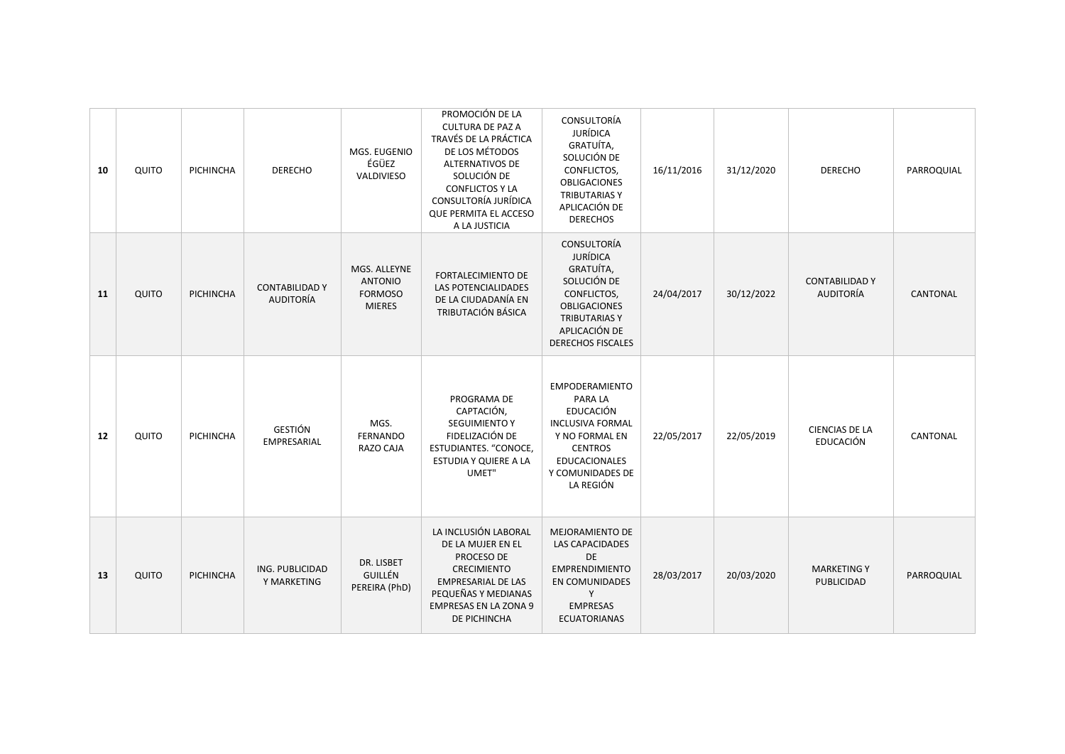| 10 | QUITO | PICHINCHA        | <b>DERECHO</b>                            | MGS. EUGENIO<br>ÉGÜEZ<br>VALDIVIESO                               | PROMOCIÓN DE LA<br><b>CULTURA DE PAZ A</b><br>TRAVÉS DE LA PRÁCTICA<br>DE LOS MÉTODOS<br>ALTERNATIVOS DE<br>SOLUCIÓN DE<br><b>CONFLICTOS Y LA</b><br>CONSULTORÍA JURÍDICA<br>QUE PERMITA EL ACCESO<br>A LA JUSTICIA | CONSULTORÍA<br><b>JURÍDICA</b><br>GRATUÍTA,<br>SOLUCIÓN DE<br>CONFLICTOS,<br><b>OBLIGACIONES</b><br><b>TRIBUTARIAS Y</b><br>APLICACIÓN DE<br><b>DERECHOS</b>                 | 16/11/2016 | 31/12/2020 | <b>DERECHO</b>                            | PARROQUIAL |
|----|-------|------------------|-------------------------------------------|-------------------------------------------------------------------|---------------------------------------------------------------------------------------------------------------------------------------------------------------------------------------------------------------------|------------------------------------------------------------------------------------------------------------------------------------------------------------------------------|------------|------------|-------------------------------------------|------------|
| 11 | QUITO | PICHINCHA        | <b>CONTABILIDAD Y</b><br><b>AUDITORÍA</b> | MGS. ALLEYNE<br><b>ANTONIO</b><br><b>FORMOSO</b><br><b>MIERES</b> | <b>FORTALECIMIENTO DE</b><br><b>LAS POTENCIALIDADES</b><br>DE LA CIUDADANÍA EN<br>TRIBUTACIÓN BÁSICA                                                                                                                | CONSULTORÍA<br><b>JURÍDICA</b><br>GRATUÍTA,<br>SOLUCIÓN DE<br>CONFLICTOS,<br><b>OBLIGACIONES</b><br><b>TRIBUTARIAS Y</b><br>APLICACIÓN DE<br><b>DERECHOS FISCALES</b>        | 24/04/2017 | 30/12/2022 | <b>CONTABILIDAD Y</b><br>AUDITORÍA        | CANTONAL   |
| 12 | QUITO | <b>PICHINCHA</b> | GESTIÓN<br>EMPRESARIAL                    | MGS.<br><b>FERNANDO</b><br>RAZO CAJA                              | PROGRAMA DE<br>CAPTACIÓN,<br><b>SEGUIMIENTO Y</b><br>FIDELIZACIÓN DE<br>ESTUDIANTES. "CONOCE,<br>ESTUDIA Y QUIERE A LA<br>UMET"                                                                                     | <b>EMPODERAMIENTO</b><br>PARA LA<br><b>EDUCACIÓN</b><br><b>INCLUSIVA FORMAL</b><br>Y NO FORMAL EN<br><b>CENTROS</b><br><b>EDUCACIONALES</b><br>Y COMUNIDADES DE<br>LA REGIÓN | 22/05/2017 | 22/05/2019 | <b>CIENCIAS DE LA</b><br><b>EDUCACIÓN</b> | CANTONAL   |
| 13 | QUITO | PICHINCHA        | ING. PUBLICIDAD<br>Y MARKETING            | DR. LISBET<br>GUILLÉN<br>PEREIRA (PhD)                            | LA INCLUSIÓN LABORAL<br>DE LA MUJER EN EL<br>PROCESO DE<br><b>CRECIMIENTO</b><br><b>EMPRESARIAL DE LAS</b><br>PEQUEÑAS Y MEDIANAS<br><b>EMPRESAS EN LA ZONA 9</b><br>DE PICHINCHA                                   | <b>MEJORAMIENTO DE</b><br>LAS CAPACIDADES<br>DE<br><b>EMPRENDIMIENTO</b><br>EN COMUNIDADES<br>Y<br><b>EMPRESAS</b><br><b>ECUATORIANAS</b>                                    | 28/03/2017 | 20/03/2020 | <b>MARKETING Y</b><br>PUBLICIDAD          | PARROQUIAL |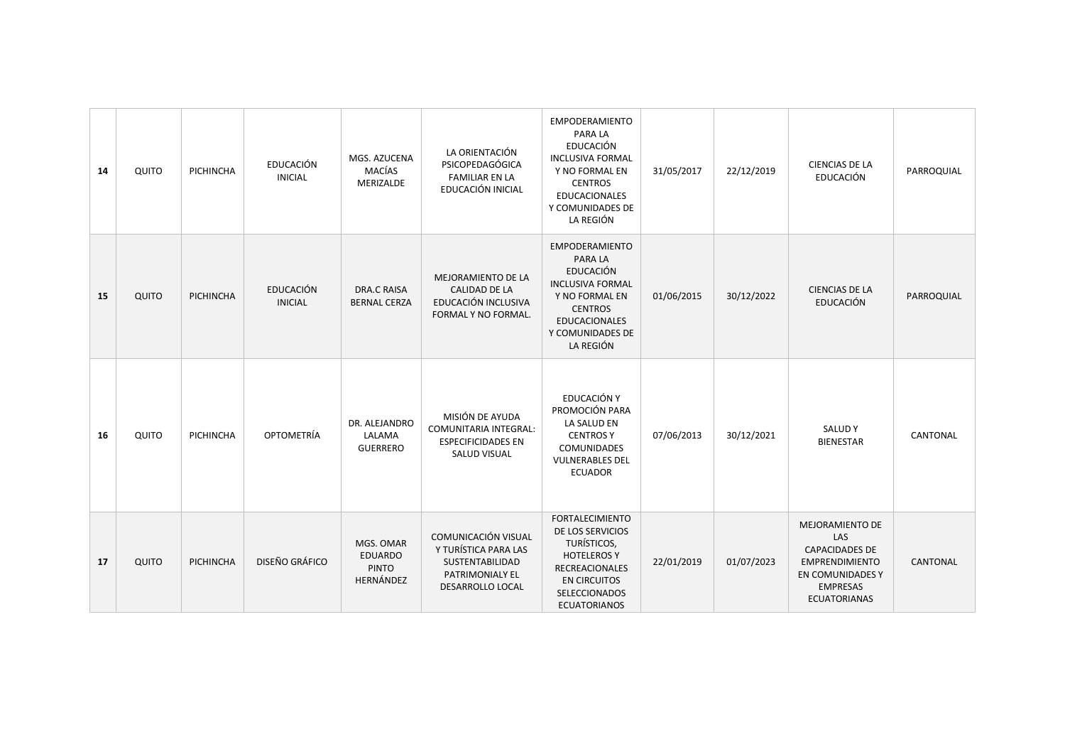| 14 | QUITO | PICHINCHA        | <b>EDUCACIÓN</b><br><b>INICIAL</b> | MGS. AZUCENA<br>MACÍAS<br>MERIZALDE                      | LA ORIENTACIÓN<br>PSICOPEDAGÓGICA<br><b>FAMILIAR EN LA</b><br>EDUCACIÓN INICIAL                              | <b>EMPODERAMIENTO</b><br>PARA LA<br><b>EDUCACIÓN</b><br><b>INCLUSIVA FORMAL</b><br>Y NO FORMAL EN<br><b>CENTROS</b><br><b>EDUCACIONALES</b><br>Y COMUNIDADES DE<br>LA REGIÓN        | 31/05/2017 | 22/12/2019 | CIENCIAS DE LA<br>EDUCACIÓN                                                                                                            | PARROQUIAL |
|----|-------|------------------|------------------------------------|----------------------------------------------------------|--------------------------------------------------------------------------------------------------------------|-------------------------------------------------------------------------------------------------------------------------------------------------------------------------------------|------------|------------|----------------------------------------------------------------------------------------------------------------------------------------|------------|
| 15 | QUITO | PICHINCHA        | <b>EDUCACIÓN</b><br><b>INICIAL</b> | <b>DRA.C RAISA</b><br><b>BERNAL CERZA</b>                | MEJORAMIENTO DE LA<br><b>CALIDAD DE LA</b><br>EDUCACIÓN INCLUSIVA<br>FORMAL Y NO FORMAL.                     | <b>EMPODERAMIENTO</b><br><b>PARA LA</b><br><b>EDUCACIÓN</b><br><b>INCLUSIVA FORMAL</b><br>Y NO FORMAL EN<br><b>CENTROS</b><br><b>EDUCACIONALES</b><br>Y COMUNIDADES DE<br>LA REGIÓN | 01/06/2015 | 30/12/2022 | <b>CIENCIAS DE LA</b><br><b>EDUCACIÓN</b>                                                                                              | PARROQUIAL |
| 16 | QUITO | <b>PICHINCHA</b> | OPTOMETRÍA                         | DR. ALEJANDRO<br>LALAMA<br><b>GUERRERO</b>               | MISIÓN DE AYUDA<br>COMUNITARIA INTEGRAL:<br><b>ESPECIFICIDADES EN</b><br><b>SALUD VISUAL</b>                 | EDUCACIÓN Y<br>PROMOCIÓN PARA<br>LA SALUD EN<br><b>CENTROS Y</b><br>COMUNIDADES<br><b>VULNERABLES DEL</b><br><b>ECUADOR</b>                                                         | 07/06/2013 | 30/12/2021 | <b>SALUDY</b><br><b>BIENESTAR</b>                                                                                                      | CANTONAL   |
| 17 | QUITO | PICHINCHA        | DISEÑO GRÁFICO                     | MGS. OMAR<br><b>EDUARDO</b><br><b>PINTO</b><br>HERNÁNDEZ | COMUNICACIÓN VISUAL<br>Y TURÍSTICA PARA LAS<br><b>SUSTENTABILIDAD</b><br>PATRIMONIALY EL<br>DESARROLLO LOCAL | <b>FORTALECIMIENTO</b><br>DE LOS SERVICIOS<br>TURÍSTICOS,<br><b>HOTELEROS Y</b><br><b>RECREACIONALES</b><br><b>EN CIRCUITOS</b><br>SELECCIONADOS<br><b>ECUATORIANOS</b>             | 22/01/2019 | 01/07/2023 | MEJORAMIENTO DE<br>LAS<br><b>CAPACIDADES DE</b><br><b>EMPRENDIMIENTO</b><br>EN COMUNIDADES Y<br><b>EMPRESAS</b><br><b>ECUATORIANAS</b> | CANTONAL   |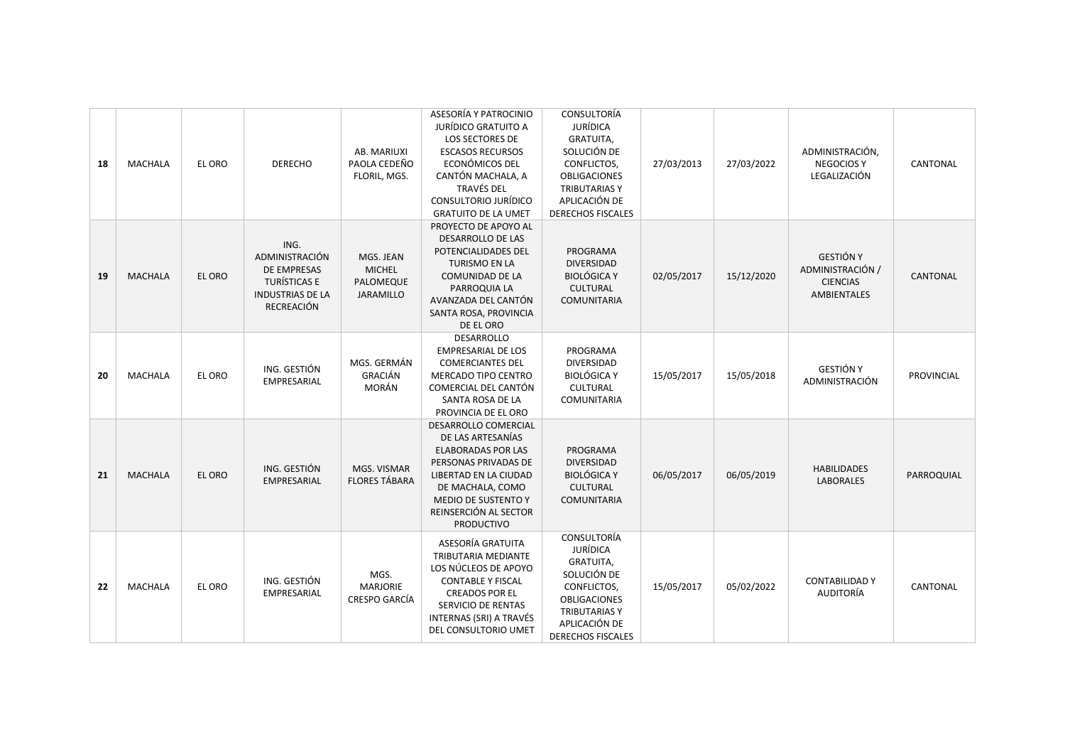| 18 | <b>MACHALA</b> | EL ORO | <b>DERECHO</b>                                                                                 | AB. MARIUXI<br>PAOLA CEDEÑO<br>FLORIL, MGS.                 | ASESORÍA Y PATROCINIO<br>JURÍDICO GRATUITO A<br>LOS SECTORES DE<br><b>ESCASOS RECURSOS</b><br>ECONÓMICOS DEL<br>CANTÓN MACHALA, A<br><b>TRAVÉS DEL</b><br>CONSULTORIO JURÍDICO<br><b>GRATUITO DE LA UMET</b>     | CONSULTORÍA<br><b>JURÍDICA</b><br><b>GRATUITA,</b><br>SOLUCIÓN DE<br>CONFLICTOS,<br><b>OBLIGACIONES</b><br><b>TRIBUTARIAS Y</b><br>APLICACIÓN DE<br><b>DERECHOS FISCALES</b> | 27/03/2013 | 27/03/2022 | ADMINISTRACIÓN,<br><b>NEGOCIOSY</b><br>LEGALIZACIÓN                           | <b>CANTONAL</b> |
|----|----------------|--------|------------------------------------------------------------------------------------------------|-------------------------------------------------------------|------------------------------------------------------------------------------------------------------------------------------------------------------------------------------------------------------------------|------------------------------------------------------------------------------------------------------------------------------------------------------------------------------|------------|------------|-------------------------------------------------------------------------------|-----------------|
| 19 | <b>MACHALA</b> | EL ORO | ING.<br>ADMINISTRACIÓN<br>DE EMPRESAS<br>TURÍSTICAS E<br><b>INDUSTRIAS DE LA</b><br>RECREACIÓN | MGS. JEAN<br><b>MICHEL</b><br>PALOMEQUE<br><b>JARAMILLO</b> | PROYECTO DE APOYO AL<br><b>DESARROLLO DE LAS</b><br>POTENCIALIDADES DEL<br><b>TURISMO EN LA</b><br>COMUNIDAD DE LA<br>PARROQUIA LA<br>AVANZADA DEL CANTÓN<br>SANTA ROSA, PROVINCIA<br>DE EL ORO                  | PROGRAMA<br><b>DIVERSIDAD</b><br><b>BIOLÓGICA Y</b><br><b>CULTURAL</b><br><b>COMUNITARIA</b>                                                                                 | 02/05/2017 | 15/12/2020 | <b>GESTIÓN Y</b><br>ADMINISTRACIÓN /<br><b>CIENCIAS</b><br><b>AMBIENTALES</b> | CANTONAL        |
| 20 | MACHALA        | EL ORO | ING. GESTIÓN<br>EMPRESARIAL                                                                    | MGS. GERMÁN<br><b>GRACIÁN</b><br>MORÁN                      | DESARROLLO<br><b>EMPRESARIAL DE LOS</b><br><b>COMERCIANTES DEL</b><br>MERCADO TIPO CENTRO<br>COMERCIAL DEL CANTÓN<br>SANTA ROSA DE LA<br>PROVINCIA DE EL ORO                                                     | PROGRAMA<br><b>DIVERSIDAD</b><br><b>BIOLÓGICA Y</b><br><b>CULTURAL</b><br><b>COMUNITARIA</b>                                                                                 | 15/05/2017 | 15/05/2018 | <b>GESTIÓN Y</b><br>ADMINISTRACIÓN                                            | PROVINCIAL      |
| 21 | <b>MACHALA</b> | EL ORO | ING. GESTIÓN<br>EMPRESARIAL                                                                    | MGS. VISMAR<br><b>FLORES TÁBARA</b>                         | DESARROLLO COMERCIAL<br>DE LAS ARTESANÍAS<br><b>ELABORADAS POR LAS</b><br>PERSONAS PRIVADAS DE<br>LIBERTAD EN LA CIUDAD<br>DE MACHALA, COMO<br>MEDIO DE SUSTENTO Y<br>REINSERCIÓN AL SECTOR<br><b>PRODUCTIVO</b> | PROGRAMA<br><b>DIVERSIDAD</b><br><b>BIOLÓGICA Y</b><br>CULTURAL<br><b>COMUNITARIA</b>                                                                                        | 06/05/2017 | 06/05/2019 | <b>HABILIDADES</b><br><b>LABORALES</b>                                        | PARROQUIAL      |
| 22 | MACHALA        | EL ORO | ING. GESTIÓN<br>EMPRESARIAL                                                                    | MGS.<br><b>MARJORIE</b><br>CRESPO GARCÍA                    | ASESORÍA GRATUITA<br>TRIBUTARIA MEDIANTE<br>LOS NÚCLEOS DE APOYO<br><b>CONTABLE Y FISCAL</b><br><b>CREADOS POR EL</b><br>SERVICIO DE RENTAS<br>INTERNAS (SRI) A TRAVÉS<br>DEL CONSULTORIO UMET                   | CONSULTORÍA<br><b>JURÍDICA</b><br><b>GRATUITA,</b><br>SOLUCIÓN DE<br>CONFLICTOS,<br><b>OBLIGACIONES</b><br><b>TRIBUTARIASY</b><br>APLICACIÓN DE<br><b>DERECHOS FISCALES</b>  | 15/05/2017 | 05/02/2022 | <b>CONTABILIDAD Y</b><br><b>AUDITORÍA</b>                                     | <b>CANTONAL</b> |